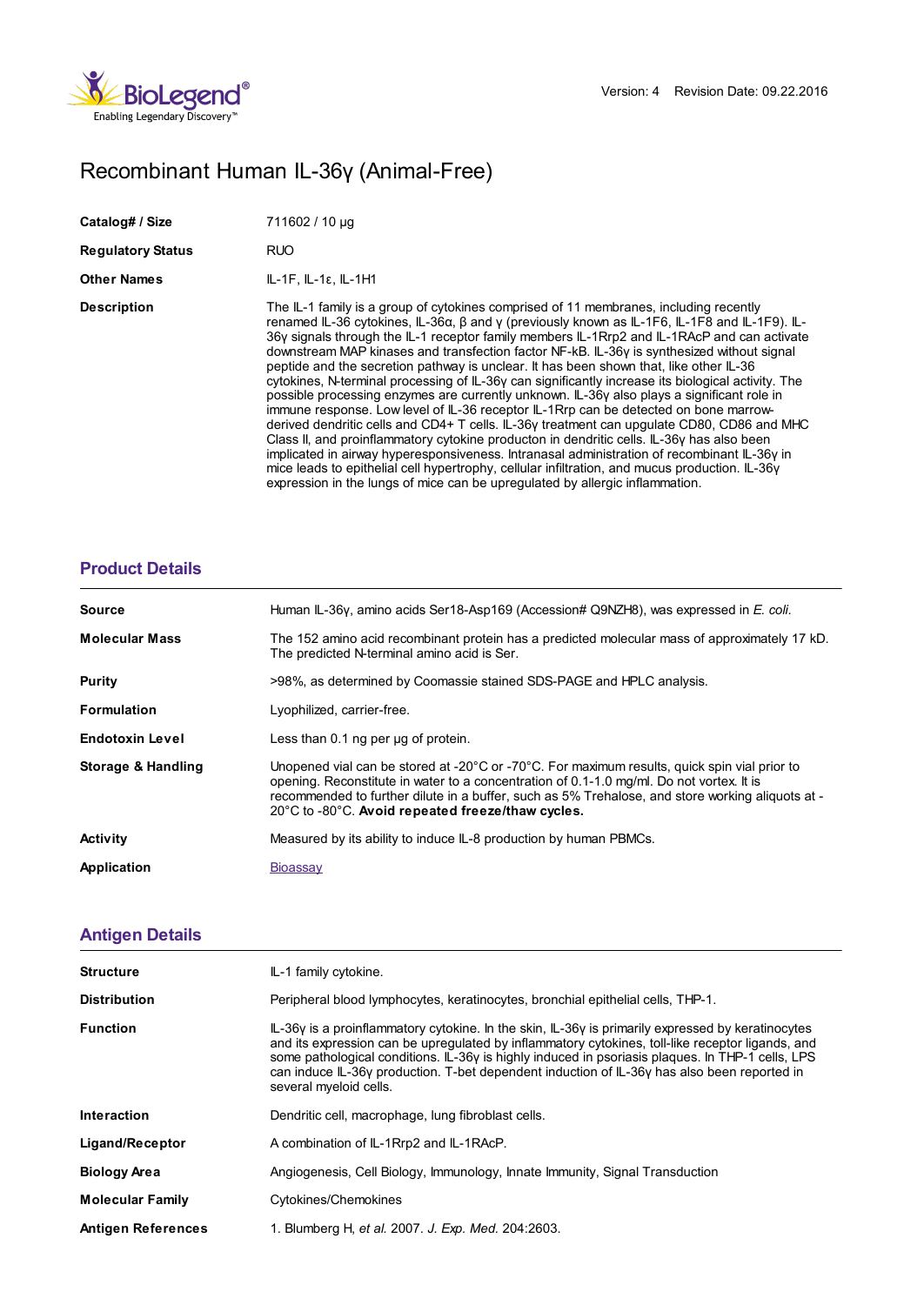

## Recombinant Human IL-36γ (Animal-Free)

| Catalog# / Size          | 711602 / 10 µg                                                                                                                                                                                                                                                                                                                                                                                                                                                                                                                                                                                                                                                                                                                                                                                                                                                                                                                                                                                                                                                                                                                                                                                                                                                        |
|--------------------------|-----------------------------------------------------------------------------------------------------------------------------------------------------------------------------------------------------------------------------------------------------------------------------------------------------------------------------------------------------------------------------------------------------------------------------------------------------------------------------------------------------------------------------------------------------------------------------------------------------------------------------------------------------------------------------------------------------------------------------------------------------------------------------------------------------------------------------------------------------------------------------------------------------------------------------------------------------------------------------------------------------------------------------------------------------------------------------------------------------------------------------------------------------------------------------------------------------------------------------------------------------------------------|
| <b>Regulatory Status</b> | <b>RUO</b>                                                                                                                                                                                                                                                                                                                                                                                                                                                                                                                                                                                                                                                                                                                                                                                                                                                                                                                                                                                                                                                                                                                                                                                                                                                            |
| <b>Other Names</b>       | $IL-1F, IL-1\varepsilon, IL-1H1$                                                                                                                                                                                                                                                                                                                                                                                                                                                                                                                                                                                                                                                                                                                                                                                                                                                                                                                                                                                                                                                                                                                                                                                                                                      |
| <b>Description</b>       | The IL-1 family is a group of cytokines comprised of 11 membranes, including recently<br>renamed IL-36 cytokines, IL-36 $\alpha$ , $\beta$ and y (previously known as IL-1F6, IL-1F8 and IL-1F9). IL-<br>36y signals through the IL-1 receptor family members IL-1Rrp2 and IL-1RAcP and can activate<br>downstream MAP kinases and transfection factor NF-kB. IL-36y is synthesized without signal<br>peptide and the secretion pathway is unclear. It has been shown that, like other IL-36<br>cytokines, N-terminal processing of IL-36y can significantly increase its biological activity. The<br>possible processing enzymes are currently unknown. IL-36y also plays a significant role in<br>immune response. Low level of IL-36 receptor IL-1 Rrp can be detected on bone marrow-<br>derived dendritic cells and CD4+ T cells. IL-36y treatment can upgulate CD80, CD86 and MHC<br>Class II, and proinflammatory cytokine producton in dendritic cells. IL-36y has also been<br>implicated in airway hyperesponsiveness. Intranasal administration of recombinant IL-36y in<br>mice leads to epithelial cell hypertrophy, cellular infiltration, and mucus production. IL-36y<br>expression in the lungs of mice can be upregulated by allergic inflammation. |

## **[Product](https://production-dynamicweb.biolegend.com/de-at/products/recombinant-human-il-36gamma-animal-free-9520?pdf=true&displayInline=true&leftRightMargin=15&topBottomMargin=15&filename=Recombinant Human IL-36%EF%BF%BD%EF%BF%BD (Animal-Free).pdf#productDetails) Details**

| <b>Source</b>          | Human IL-36γ, amino acids Ser18-Asp169 (Accession# Q9NZH8), was expressed in E. coli.                                                                                                                                                                                                                                                                                                        |
|------------------------|----------------------------------------------------------------------------------------------------------------------------------------------------------------------------------------------------------------------------------------------------------------------------------------------------------------------------------------------------------------------------------------------|
| <b>Molecular Mass</b>  | The 152 amino acid recombinant protein has a predicted molecular mass of approximately 17 kD.<br>The predicted N-terminal amino acid is Ser.                                                                                                                                                                                                                                                 |
| Purity                 | >98%, as determined by Coomassie stained SDS-PAGE and HPLC analysis.                                                                                                                                                                                                                                                                                                                         |
| <b>Formulation</b>     | Lyophilized, carrier-free.                                                                                                                                                                                                                                                                                                                                                                   |
| <b>Endotoxin Level</b> | Less than $0.1$ ng per $\mu$ g of protein.                                                                                                                                                                                                                                                                                                                                                   |
| Storage & Handling     | Unopened vial can be stored at -20 $^{\circ}$ C or -70 $^{\circ}$ C. For maximum results, quick spin vial prior to<br>opening. Reconstitute in water to a concentration of 0.1-1.0 mg/ml. Do not vortex. It is<br>recommended to further dilute in a buffer, such as 5% Trehalose, and store working aliquots at -<br>$20^{\circ}$ C to -80 $^{\circ}$ C. Avoid repeated freeze/thaw cycles. |
| <b>Activity</b>        | Measured by its ability to induce IL-8 production by human PBMCs.                                                                                                                                                                                                                                                                                                                            |
| Application            | <b>Bioassay</b>                                                                                                                                                                                                                                                                                                                                                                              |

## **[Antigen](https://production-dynamicweb.biolegend.com/de-at/products/recombinant-human-il-36gamma-animal-free-9520?pdf=true&displayInline=true&leftRightMargin=15&topBottomMargin=15&filename=Recombinant Human IL-36%EF%BF%BD%EF%BF%BD (Animal-Free).pdf#antigenDetails) Details**

| <b>Structure</b>          | IL-1 family cytokine.                                                                                                                                                                                                                                                                                                                                                                                                                  |
|---------------------------|----------------------------------------------------------------------------------------------------------------------------------------------------------------------------------------------------------------------------------------------------------------------------------------------------------------------------------------------------------------------------------------------------------------------------------------|
| <b>Distribution</b>       | Peripheral blood lymphocytes, keratinocytes, bronchial epithelial cells, THP-1.                                                                                                                                                                                                                                                                                                                                                        |
| <b>Function</b>           | $IL-36y$ is a proinflammatory cytokine. In the skin, $IL-36y$ is primarily expressed by keratinocytes<br>and its expression can be upregulated by inflammatory cytokines, toll-like receptor ligands, and<br>some pathological conditions. IL-36γ is highly induced in psoriasis plaques. In THP-1 cells, LPS<br>can induce IL-36y production. T-bet dependent induction of IL-36y has also been reported in<br>several myeloid cells. |
| Interaction               | Dendritic cell, macrophage, lung fibroblast cells.                                                                                                                                                                                                                                                                                                                                                                                     |
| Ligand/Receptor           | A combination of IL-1Rrp2 and IL-1RAcP.                                                                                                                                                                                                                                                                                                                                                                                                |
| <b>Biology Area</b>       | Angiogenesis, Cell Biology, Immunology, Innate Immunity, Signal Transduction                                                                                                                                                                                                                                                                                                                                                           |
| <b>Molecular Family</b>   | Cytokines/Chemokines                                                                                                                                                                                                                                                                                                                                                                                                                   |
| <b>Antigen References</b> | 1. Blumberg H, et al. 2007. J. Exp. Med. 204:2603.                                                                                                                                                                                                                                                                                                                                                                                     |